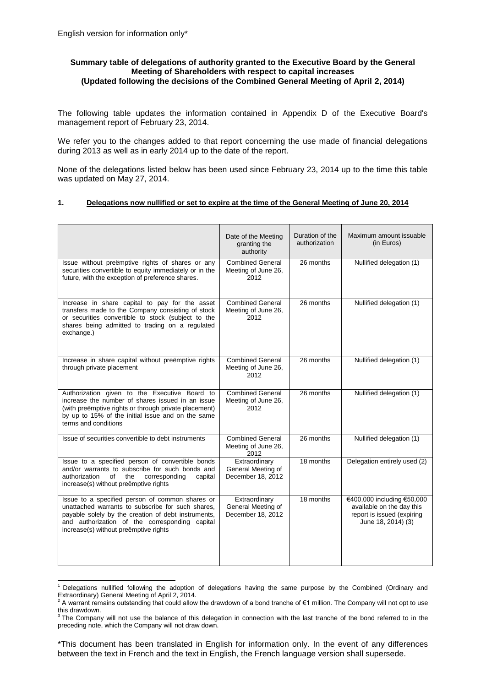1

# **Summary table of delegations of authority granted to the Executive Board by the General Meeting of Shareholders with respect to capital increases (Updated following the decisions of the Combined General Meeting of April 2, 2014)**

The following table updates the information contained in Appendix D of the Executive Board's management report of February 23, 2014.

We refer you to the changes added to that report concerning the use made of financial delegations during 2013 as well as in early 2014 up to the date of the report.

None of the delegations listed below has been used since February 23, 2014 up to the time this table was updated on May 27, 2014.

## **1. Delegations now nullified or set to expire at the time of the General Meeting of June 20, 2014**

|                                                                                                                                                                                                                                                        | Date of the Meeting                                      | Duration of the | Maximum amount issuable                                                                                     |
|--------------------------------------------------------------------------------------------------------------------------------------------------------------------------------------------------------------------------------------------------------|----------------------------------------------------------|-----------------|-------------------------------------------------------------------------------------------------------------|
|                                                                                                                                                                                                                                                        | granting the<br>authority                                | authorization   | (in Euros)                                                                                                  |
| Issue without preëmptive rights of shares or any<br>securities convertible to equity immediately or in the<br>future, with the exception of preference shares.                                                                                         | <b>Combined General</b><br>Meeting of June 26,<br>2012   | 26 months       | Nullified delegation (1)                                                                                    |
| Increase in share capital to pay for the asset<br>transfers made to the Company consisting of stock<br>or securities convertible to stock (subject to the<br>shares being admitted to trading on a regulated<br>exchange.)                             | <b>Combined General</b><br>Meeting of June 26,<br>2012   | 26 months       | Nullified delegation (1)                                                                                    |
| Increase in share capital without preemptive rights<br>through private placement                                                                                                                                                                       | <b>Combined General</b><br>Meeting of June 26,<br>2012   | 26 months       | Nullified delegation (1)                                                                                    |
| Authorization given to the Executive Board to<br>increase the number of shares issued in an issue<br>(with preëmptive rights or through private placement)<br>by up to 15% of the initial issue and on the same<br>terms and conditions                | <b>Combined General</b><br>Meeting of June 26,<br>2012   | 26 months       | Nullified delegation (1)                                                                                    |
| Issue of securities convertible to debt instruments                                                                                                                                                                                                    | <b>Combined General</b><br>Meeting of June 26,<br>2012   | 26 months       | Nullified delegation (1)                                                                                    |
| Issue to a specified person of convertible bonds<br>and/or warrants to subscribe for such bonds and<br>of<br>the<br>corresponding<br>capital<br>authorization<br>increase(s) without preëmptive rights                                                 | Extraordinary<br>General Meeting of<br>December 18, 2012 | 18 months       | Delegation entirely used (2)                                                                                |
| Issue to a specified person of common shares or<br>unattached warrants to subscribe for such shares,<br>payable solely by the creation of debt instruments,<br>and authorization of the corresponding capital<br>increase(s) without preëmptive rights | Extraordinary<br>General Meeting of<br>December 18, 2012 | 18 months       | €400,000 including €50,000<br>available on the day this<br>report is issued (expiring<br>June 18, 2014) (3) |

<sup>&</sup>lt;sup>1</sup> Delegations nullified following the adoption of delegations having the same purpose by the Combined (Ordinary and Extraordinary) General Meeting of April 2, 2014.

\*This document has been translated in English for information only. In the event of any differences between the text in French and the text in English, the French language version shall supersede.

 $\frac{2}{3}$  A warrant remains outstanding that could allow the drawdown of a bond tranche of €1 million. The Company will not opt to use this drawdown.

 $3$  The Company will not use the balance of this delegation in connection with the last tranche of the bond referred to in the preceding note, which the Company will not draw down.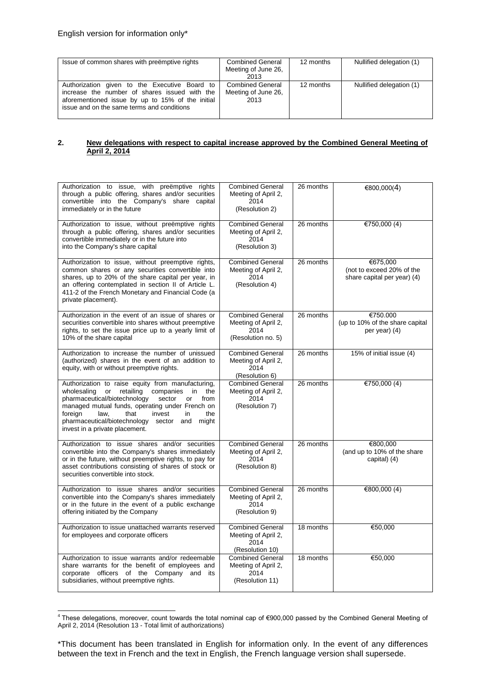| Issue of common shares with preemptive rights                                                                                                                                                    | <b>Combined General</b><br>Meeting of June 26,<br>2013 | 12 months | Nullified delegation (1) |
|--------------------------------------------------------------------------------------------------------------------------------------------------------------------------------------------------|--------------------------------------------------------|-----------|--------------------------|
| Authorization given to the Executive Board to<br>increase the number of shares issued with the<br>aforementioned issue by up to 15% of the initial<br>issue and on the same terms and conditions | Combined General<br>Meeting of June 26,<br>2013        | 12 months | Nullified delegation (1) |

#### **2. New delegations with respect to capital increase approved by the Combined General Meeting of April 2, 2014**

| Authorization to issue, with preëmptive rights<br>through a public offering, shares and/or securities<br>convertible into the Company's share capital<br>immediately or in the future                                                                                                                                                                                       | <b>Combined General</b><br>Meeting of April 2,<br>2014<br>(Resolution 2)     | 26 months | €800,000(4)                                                          |
|-----------------------------------------------------------------------------------------------------------------------------------------------------------------------------------------------------------------------------------------------------------------------------------------------------------------------------------------------------------------------------|------------------------------------------------------------------------------|-----------|----------------------------------------------------------------------|
| Authorization to issue, without preëmptive rights<br>through a public offering, shares and/or securities<br>convertible immediately or in the future into<br>into the Company's share capital                                                                                                                                                                               | <b>Combined General</b><br>Meeting of April 2,<br>2014<br>(Resolution 3)     | 26 months | €750,000 $(4)$                                                       |
| Authorization to issue, without preemptive rights,<br>common shares or any securities convertible into<br>shares, up to 20% of the share capital per year, in<br>an offering contemplated in section II of Article L.<br>411-2 of the French Monetary and Financial Code (a<br>private placement).                                                                          | <b>Combined General</b><br>Meeting of April 2,<br>2014<br>(Resolution 4)     | 26 months | €675,000<br>(not to exceed 20% of the<br>share capital per year) (4) |
| Authorization in the event of an issue of shares or<br>securities convertible into shares without preemptive<br>rights, to set the issue price up to a yearly limit of<br>10% of the share capital                                                                                                                                                                          | <b>Combined General</b><br>Meeting of April 2,<br>2014<br>(Resolution no. 5) | 26 months | €750.000<br>(up to 10% of the share capital<br>per year) (4)         |
| Authorization to increase the number of unissued<br>(authorized) shares in the event of an addition to<br>equity, with or without preemptive rights.                                                                                                                                                                                                                        | <b>Combined General</b><br>Meeting of April 2,<br>2014<br>(Resolution 6)     | 26 months | 15% of initial issue (4)                                             |
| Authorization to raise equity from manufacturing,<br>wholesaling<br>retailing<br>companies<br>in<br>or<br>the<br>pharmaceutical/biotechnology<br>sector<br><sub>or</sub><br>from<br>managed mutual funds, operating under French on<br>foreign<br>law,<br>that<br>invest<br>the<br>in<br>pharmaceutical/biotechnology sector and<br>might<br>invest in a private placement. | <b>Combined General</b><br>Meeting of April 2,<br>2014<br>(Resolution 7)     | 26 months | €750,000 $(4)$                                                       |
| Authorization to issue shares and/or securities<br>convertible into the Company's shares immediately<br>or in the future, without preemptive rights, to pay for<br>asset contributions consisting of shares of stock or<br>securities convertible into stock.                                                                                                               | <b>Combined General</b><br>Meeting of April 2,<br>2014<br>(Resolution 8)     | 26 months | €800,000<br>(and up to 10% of the share<br>capital) (4)              |
| Authorization to issue shares and/or securities<br>convertible into the Company's shares immediately<br>or in the future in the event of a public exchange<br>offering initiated by the Company                                                                                                                                                                             | <b>Combined General</b><br>Meeting of April 2,<br>2014<br>(Resolution 9)     | 26 months | €800,000 $(4)$                                                       |
| Authorization to issue unattached warrants reserved<br>for employees and corporate officers                                                                                                                                                                                                                                                                                 | <b>Combined General</b><br>Meeting of April 2,<br>2014<br>(Resolution 10)    | 18 months | €50,000                                                              |
| Authorization to issue warrants and/or redeemable<br>share warrants for the benefit of employees and<br>corporate officers of the Company and<br>its<br>subsidiaries, without preemptive rights.                                                                                                                                                                            | <b>Combined General</b><br>Meeting of April 2,<br>2014<br>(Resolution 11)    | 18 months | €50,000                                                              |

 4 These delegations, moreover, count towards the total nominal cap of €900,000 passed by the Combined General Meeting of April 2, 2014 (Resolution 13 - Total limit of authorizations)

<sup>\*</sup>This document has been translated in English for information only. In the event of any differences between the text in French and the text in English, the French language version shall supersede.